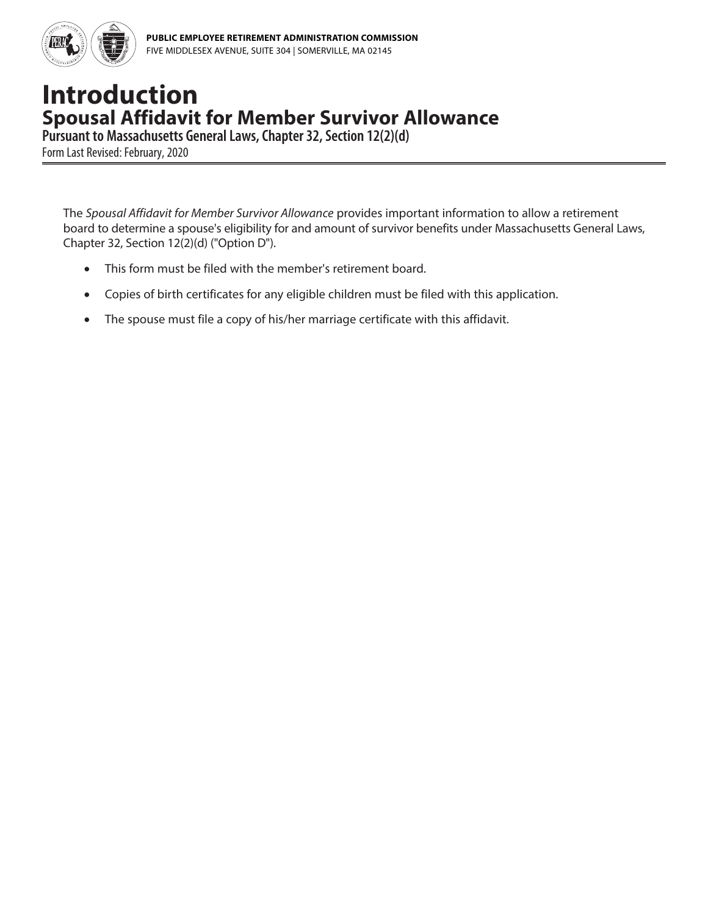

## **Introduction Spousal Affidavit for Member Survivor Allowance**

**Pursuant to Massachusetts General Laws, Chapter 32, Section 12(2)(d)**

Form Last Revised: February, 2020

The *Spousal Affidavit for Member Survivor Allowance* provides important information to allow a retirement board to determine a spouse's eligibility for and amount of survivor benefits under Massachusetts General Laws, Chapter 32, Section 12(2)(d) ("Option D").

- This form must be filed with the member's retirement board.
- Copies of birth certificates for any eligible children must be filed with this application.
- The spouse must file a copy of his/her marriage certificate with this affidavit.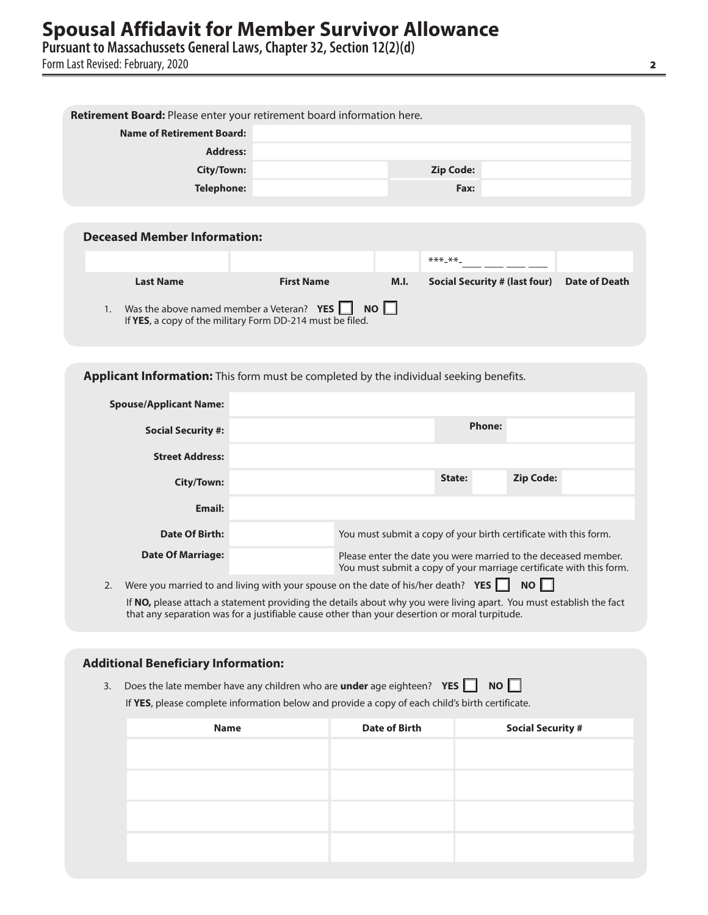## **Spousal Affidavit for Member Survivor Allowance**<br>Pursuant to Massachussets General Laws, Chapter 32, Section 12(2)(d)

Form Last Revised: February, 2020

| Retirement Board: Please enter your retirement board information here.                 |                                                                                                                    |      |                                      |                      |
|----------------------------------------------------------------------------------------|--------------------------------------------------------------------------------------------------------------------|------|--------------------------------------|----------------------|
| <b>Name of Retirement Board:</b>                                                       |                                                                                                                    |      |                                      |                      |
| <b>Address:</b>                                                                        |                                                                                                                    |      |                                      |                      |
| City/Town:                                                                             |                                                                                                                    |      | <b>Zip Code:</b>                     |                      |
| <b>Telephone:</b>                                                                      |                                                                                                                    |      | Fax:                                 |                      |
|                                                                                        |                                                                                                                    |      |                                      |                      |
| <b>Deceased Member Information:</b>                                                    |                                                                                                                    |      |                                      |                      |
|                                                                                        |                                                                                                                    |      | $***$ $***$                          |                      |
|                                                                                        |                                                                                                                    |      |                                      |                      |
| <b>Last Name</b>                                                                       | <b>First Name</b>                                                                                                  | M.I. | <b>Social Security # (last four)</b> | <b>Date of Death</b> |
| 1.                                                                                     | Was the above named member a Veteran? $YES$ <b>NO</b><br>If YES, a copy of the military Form DD-214 must be filed. |      |                                      |                      |
| Applicant Information: This form must be completed by the individual seeking benefits. |                                                                                                                    |      |                                      |                      |
|                                                                                        |                                                                                                                    |      |                                      |                      |
| <b>Spouse/Applicant Name:</b>                                                          |                                                                                                                    |      |                                      |                      |
| <b>Social Security #:</b>                                                              |                                                                                                                    |      | <b>Phone:</b>                        |                      |

| <b>Street Address:</b> |                                                                                                                                       |        |                  |  |  |
|------------------------|---------------------------------------------------------------------------------------------------------------------------------------|--------|------------------|--|--|
| City/Town:             |                                                                                                                                       | State: | <b>Zip Code:</b> |  |  |
| Email:                 |                                                                                                                                       |        |                  |  |  |
| Date Of Birth:         | You must submit a copy of your birth certificate with this form.                                                                      |        |                  |  |  |
| Date Of Marriage:      | Please enter the date you were married to the deceased member.<br>You must submit a copy of your marriage certificate with this form. |        |                  |  |  |
|                        | $\mathbf{u}$ and $\mathbf{u}$ and $\mathbf{u}$ and $\mathbf{u}$                                                                       |        | $\ldots$ $\Box$  |  |  |

2. Were you married to and living with your spouse on the date of his/her death? **YES** NO If **NO,** please attach a statement providing the details about why you were living apart. You must establish the fact that any separation was for a justifiable cause other than your desertion or moral turpitude.

## **Additional Beneficiary Information:**

3. Does the late member have any children who are **under** age eighteen? **YES NO** If **YES**, please complete information below and provide a copy of each child's birth certificate.

| <b>Date of Birth</b> | <b>Social Security #</b> |
|----------------------|--------------------------|
|                      |                          |
|                      |                          |
|                      |                          |
|                      |                          |
|                      |                          |